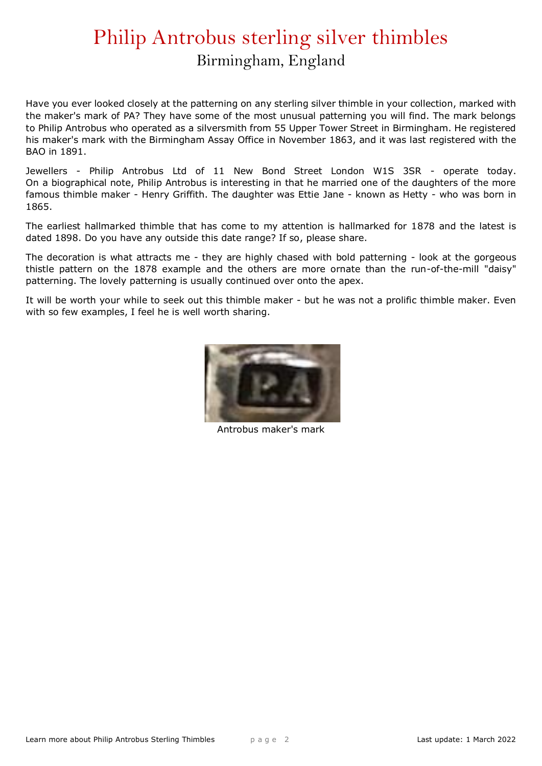## Philip Antrobus sterling silver thimbles Birmingham, England

Have you ever looked closely at the patterning on any sterling silver thimble in your collection, marked with the maker's mark of PA? They have some of the most unusual patterning you will find. The mark belongs to Philip Antrobus who operated as a silversmith from 55 Upper Tower Street in Birmingham. He registered his maker's mark with the Birmingham Assay Office in November 1863, and it was last registered with the BAO in 1891.

Jewellers - Philip Antrobus Ltd of 11 New Bond Street London W1S 3SR - operate today. On a biographical note, Philip Antrobus is interesting in that he married one of the daughters of the more famous thimble maker - Henry Griffith. The daughter was Ettie Jane - known as Hetty - who was born in 1865.

The earliest hallmarked thimble that has come to my attention is hallmarked for 1878 and the latest is dated 1898. Do you have any outside this date range? If so, please share.

The decoration is what attracts me - they are highly chased with bold patterning - look at the gorgeous thistle pattern on the 1878 example and the others are more ornate than the run-of-the-mill "daisy" patterning. The lovely patterning is usually continued over onto the apex.

It will be worth your while to seek out this thimble maker - but he was not a prolific thimble maker. Even with so few examples, I feel he is well worth sharing.



Antrobus maker's mark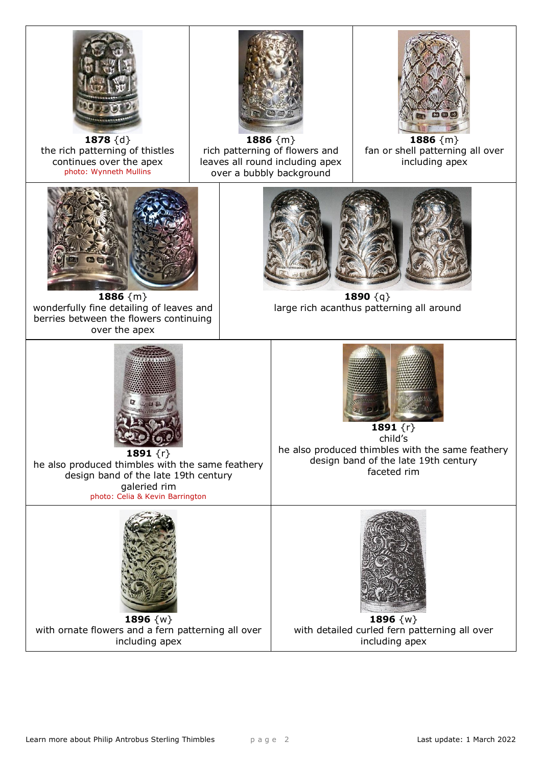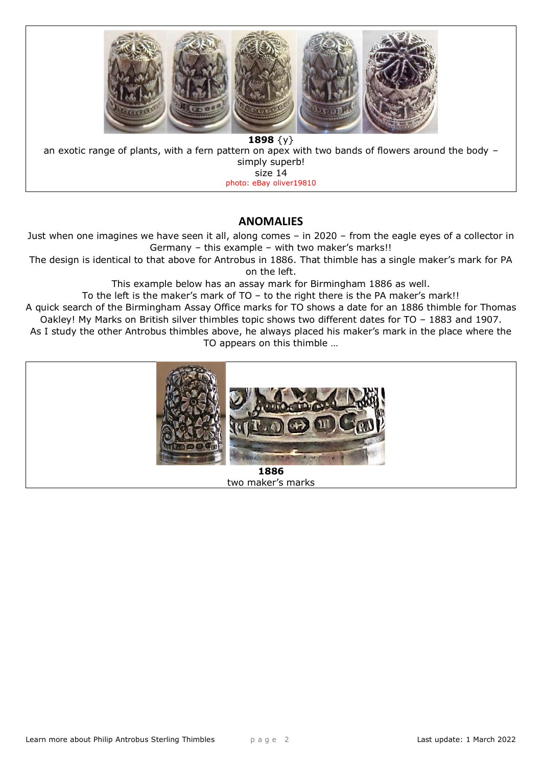

## **ANOMALIES**

Just when one imagines we have seen it all, along comes – in 2020 – from the eagle eyes of a collector in Germany – this example – with two maker's marks!!

The design is identical to that above for Antrobus in 1886. That thimble has a single maker's mark for PA on the left.

This example below has an assay mark for Birmingham 1886 as well.

To the left is the maker's mark of TO – to the right there is the PA maker's mark!!

A quick search of the Birmingham Assay Office marks for TO shows a date for an 1886 thimble for Thomas Oakley! My Marks on British silver thimbles topic shows two different dates for TO – 1883 and 1907.

As I study the other Antrobus thimbles above, he always placed his maker's mark in the place where the TO appears on this thimble …



two maker's marks